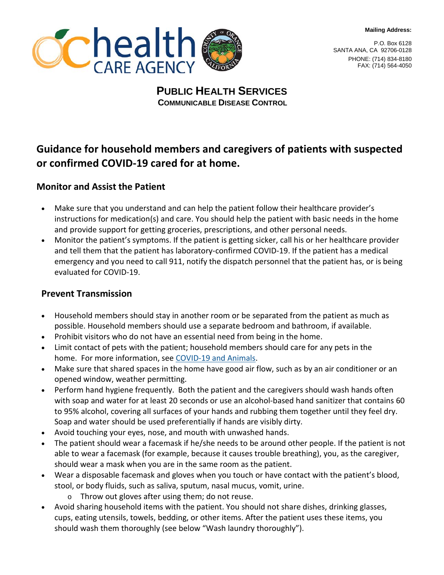**Mailing Address:**



P.O. Box 6128 SANTA ANA, CA 92706-0128 PHONE: (714) 834-8180 FAX: (714) 564-4050

## **PUBLIC HEALTH SERVICES COMMUNICABLE DISEASE CONTROL**

# **Guidance for household members and caregivers of patients with suspected or confirmed COVID-19 cared for at home.**

### **Monitor and Assist the Patient**

- Make sure that you understand and can help the patient follow their healthcare provider's instructions for medication(s) and care. You should help the patient with basic needs in the home and provide support for getting groceries, prescriptions, and other personal needs.
- Monitor the patient's symptoms. If the patient is getting sicker, call his or her healthcare provider and tell them that the patient has laboratory-confirmed COVID-19. If the patient has a medical emergency and you need to call 911, notify the dispatch personnel that the patient has, or is being evaluated for COVID-19.

#### **Prevent Transmission**

- Household members should stay in another room or be separated from the patient as much as possible. Household members should use a separate bedroom and bathroom, if available.
- Prohibit visitors who do not have an essential need from being in the home.
- Limit contact of pets with the patient; household members should care for any pets in the home. For more information, see [COVID-19 and Animals.](https://www.cdc.gov/coronavirus/2019-ncov/faq.html/#2019-nCoV-and-animals)
- Make sure that shared spaces in the home have good air flow, such as by an air conditioner or an opened window, weather permitting.
- Perform hand hygiene frequently. Both the patient and the caregivers should wash hands often with soap and water for at least 20 seconds or use an alcohol-based hand sanitizer that contains 60 to 95% alcohol, covering all surfaces of your hands and rubbing them together until they feel dry. Soap and water should be used preferentially if hands are visibly dirty.
- Avoid touching your eyes, nose, and mouth with unwashed hands.
- The patient should wear a facemask if he/she needs to be around other people. If the patient is not able to wear a facemask (for example, because it causes trouble breathing), you, as the caregiver, should wear a mask when you are in the same room as the patient.
- Wear a disposable facemask and gloves when you touch or have contact with the patient's blood, stool, or body fluids, such as saliva, sputum, nasal mucus, vomit, urine.
	- o Throw out gloves after using them; do not reuse.
- Avoid sharing household items with the patient. You should not share dishes, drinking glasses, cups, eating utensils, towels, bedding, or other items. After the patient uses these items, you should wash them thoroughly (see below "Wash laundry thoroughly").